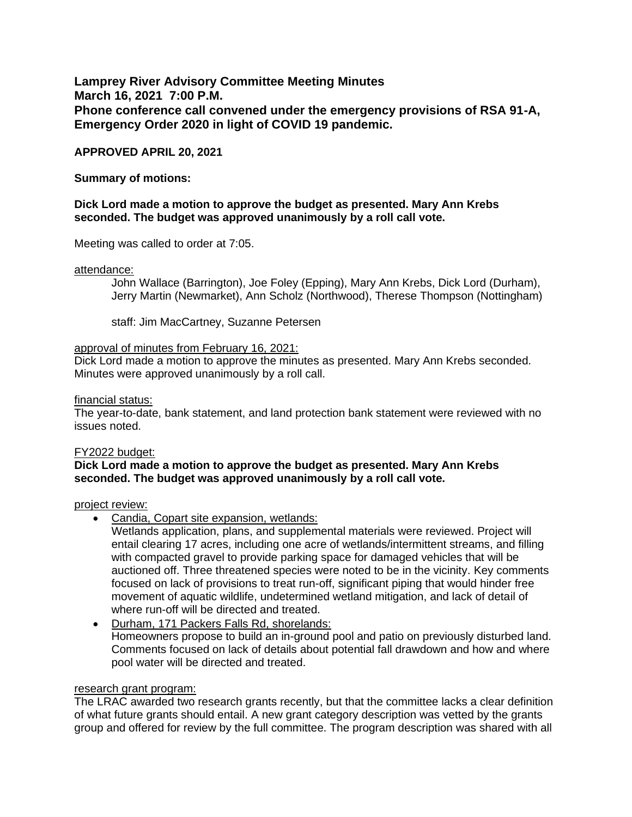**Lamprey River Advisory Committee Meeting Minutes March 16, 2021 7:00 P.M. Phone conference call convened under the emergency provisions of RSA 91-A, Emergency Order 2020 in light of COVID 19 pandemic.** 

## **APPROVED APRIL 20, 2021**

### **Summary of motions:**

## **Dick Lord made a motion to approve the budget as presented. Mary Ann Krebs seconded. The budget was approved unanimously by a roll call vote.**

Meeting was called to order at 7:05.

#### attendance:

John Wallace (Barrington), Joe Foley (Epping), Mary Ann Krebs, Dick Lord (Durham), Jerry Martin (Newmarket), Ann Scholz (Northwood), Therese Thompson (Nottingham)

staff: Jim MacCartney, Suzanne Petersen

#### approval of minutes from February 16, 2021:

Dick Lord made a motion to approve the minutes as presented. Mary Ann Krebs seconded. Minutes were approved unanimously by a roll call.

#### financial status:

The year-to-date, bank statement, and land protection bank statement were reviewed with no issues noted.

#### FY2022 budget:

#### **Dick Lord made a motion to approve the budget as presented. Mary Ann Krebs seconded. The budget was approved unanimously by a roll call vote.**

#### project review:

• Candia, Copart site expansion, wetlands:

Wetlands application, plans, and supplemental materials were reviewed. Project will entail clearing 17 acres, including one acre of wetlands/intermittent streams, and filling with compacted gravel to provide parking space for damaged vehicles that will be auctioned off. Three threatened species were noted to be in the vicinity. Key comments focused on lack of provisions to treat run-off, significant piping that would hinder free movement of aquatic wildlife, undetermined wetland mitigation, and lack of detail of where run-off will be directed and treated.

• Durham, 171 Packers Falls Rd, shorelands: Homeowners propose to build an in-ground pool and patio on previously disturbed land. Comments focused on lack of details about potential fall drawdown and how and where pool water will be directed and treated.

#### research grant program:

The LRAC awarded two research grants recently, but that the committee lacks a clear definition of what future grants should entail. A new grant category description was vetted by the grants group and offered for review by the full committee. The program description was shared with all